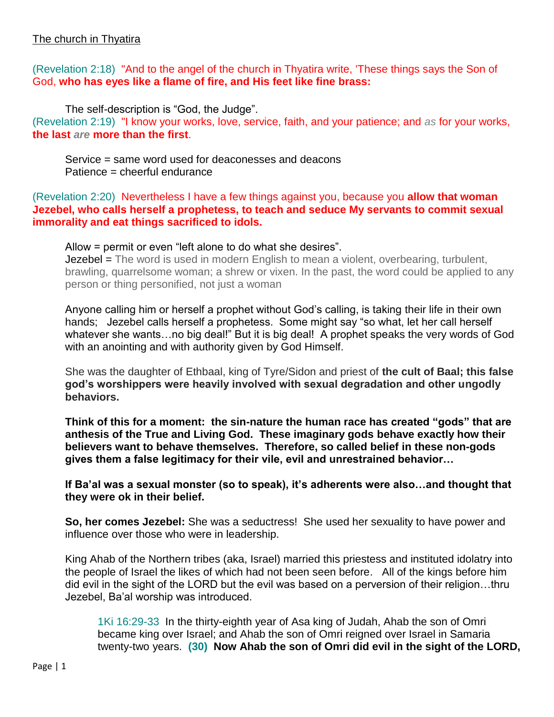## (Revelation 2:18) "And to the angel of the church in Thyatira write, 'These things says the Son of God, **who has eyes like a flame of fire, and His feet like fine brass:**

The self-description is "God, the Judge". (Revelation 2:19) "I know your works, love, service, faith, and your patience; and *as* for your works, **the last** *are* **more than the first**.

Service = same word used for deaconesses and deacons Patience = cheerful endurance

(Revelation 2:20) Nevertheless I have a few things against you, because you **allow that woman Jezebel, who calls herself a prophetess, to teach and seduce My servants to commit sexual immorality and eat things sacrificed to idols.**

Allow = permit or even "left alone to do what she desires".

**Jezebel =** The word is used in modern English to mean a violent, overbearing, turbulent, brawling, quarrelsome woman; a shrew or vixen. In the past, the word could be applied to any person or thing personified, not just a woman

Anyone calling him or herself a prophet without God's calling, is taking their life in their own hands; Jezebel calls herself a prophetess. Some might say "so what, let her call herself whatever she wants...no big deal!" But it is big deal! A prophet speaks the very words of God with an anointing and with authority given by God Himself.

She was the daughter of Ethbaal, king of Tyre/Sidon and priest of **the cult of Baal; this false god's worshippers were heavily involved with sexual degradation and other ungodly behaviors.** 

**Think of this for a moment: the sin-nature the human race has created "gods" that are anthesis of the True and Living God. These imaginary gods behave exactly how their believers want to behave themselves. Therefore, so called belief in these non-gods gives them a false legitimacy for their vile, evil and unrestrained behavior…**

**If Ba'al was a sexual monster (so to speak), it's adherents were also…and thought that they were ok in their belief.**

**So, her comes Jezebel:** She was a seductress! She used her sexuality to have power and influence over those who were in leadership.

King Ahab of the Northern tribes (aka, Israel) married this priestess and instituted idolatry into the people of Israel the likes of which had not been seen before. All of the kings before him did evil in the sight of the LORD but the evil was based on a perversion of their religion…thru Jezebel, Ba'al worship was introduced.

1Ki 16:29-33 In the thirty-eighth year of Asa king of Judah, Ahab the son of Omri became king over Israel; and Ahab the son of Omri reigned over Israel in Samaria twenty-two years. **(30) Now Ahab the son of Omri did evil in the sight of the LORD,**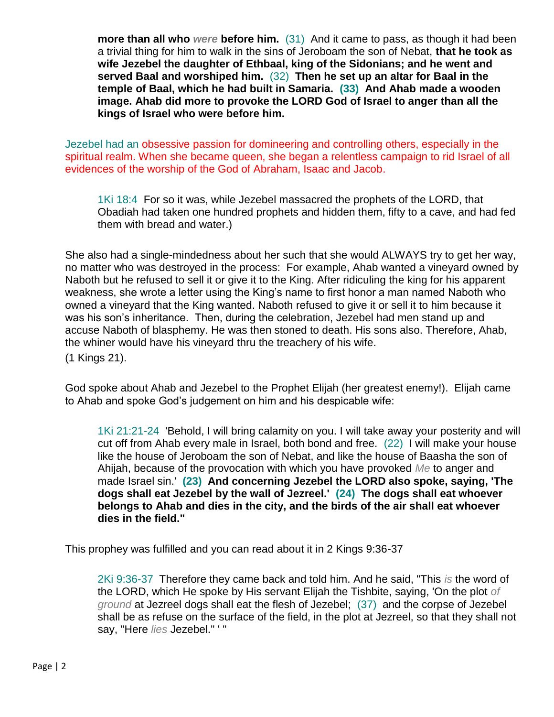**more than all who** *were* **before him.** (31) And it came to pass, as though it had been a trivial thing for him to walk in the sins of Jeroboam the son of Nebat, **that he took as wife Jezebel the daughter of Ethbaal, king of the Sidonians; and he went and served Baal and worshiped him.** (32) **Then he set up an altar for Baal in the temple of Baal, which he had built in Samaria. (33) And Ahab made a wooden image. Ahab did more to provoke the LORD God of Israel to anger than all the kings of Israel who were before him.**

Jezebel had an obsessive passion for domineering and controlling others, especially in the spiritual realm. When she became queen, she began a relentless campaign to rid Israel of all evidences of the worship of the God of Abraham, Isaac and Jacob.

1Ki 18:4 For so it was, while Jezebel massacred the prophets of the LORD, that Obadiah had taken one hundred prophets and hidden them, fifty to a cave, and had fed them with bread and water.)

She also had a single-mindedness about her such that she would ALWAYS try to get her way, no matter who was destroyed in the process: For example, Ahab wanted a vineyard owned by Naboth but he refused to sell it or give it to the King. After ridiculing the king for his apparent weakness, she wrote a letter using the King's name to first honor a man named Naboth who owned a vineyard that the King wanted. Naboth refused to give it or sell it to him because it was his son's inheritance. Then, during the celebration, Jezebel had men stand up and accuse Naboth of blasphemy. He was then stoned to death. His sons also. Therefore, Ahab, the whiner would have his vineyard thru the treachery of his wife.

(1 Kings 21).

God spoke about Ahab and Jezebel to the Prophet Elijah (her greatest enemy!). Elijah came to Ahab and spoke God's judgement on him and his despicable wife:

1Ki 21:21-24 'Behold, I will bring calamity on you. I will take away your posterity and will cut off from Ahab every male in Israel, both bond and free. (22) I will make your house like the house of Jeroboam the son of Nebat, and like the house of Baasha the son of Ahijah, because of the provocation with which you have provoked *Me* to anger and made Israel sin.' **(23) And concerning Jezebel the LORD also spoke, saying, 'The dogs shall eat Jezebel by the wall of Jezreel.' (24) The dogs shall eat whoever belongs to Ahab and dies in the city, and the birds of the air shall eat whoever dies in the field."**

This prophey was fulfilled and you can read about it in 2 Kings 9:36-37

2Ki 9:36-37 Therefore they came back and told him. And he said, "This *is* the word of the LORD, which He spoke by His servant Elijah the Tishbite, saying, 'On the plot *of ground* at Jezreel dogs shall eat the flesh of Jezebel; (37) and the corpse of Jezebel shall be as refuse on the surface of the field, in the plot at Jezreel, so that they shall not say, "Here *lies* Jezebel." ' "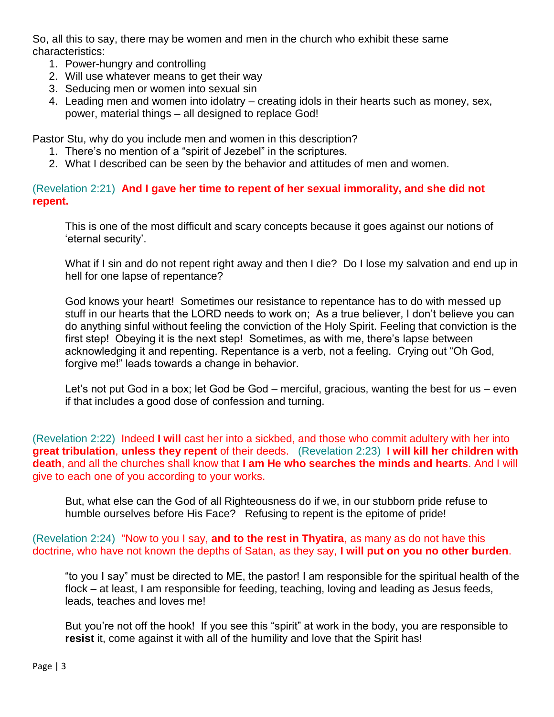So, all this to say, there may be women and men in the church who exhibit these same characteristics:

- 1. Power-hungry and controlling
- 2. Will use whatever means to get their way
- 3. Seducing men or women into sexual sin
- 4. Leading men and women into idolatry creating idols in their hearts such as money, sex, power, material things – all designed to replace God!

Pastor Stu, why do you include men and women in this description?

- 1. There's no mention of a "spirit of Jezebel" in the scriptures.
- 2. What I described can be seen by the behavior and attitudes of men and women.

## (Revelation 2:21) **And I gave her time to repent of her sexual immorality, and she did not repent.**

This is one of the most difficult and scary concepts because it goes against our notions of 'eternal security'.

What if I sin and do not repent right away and then I die? Do I lose my salvation and end up in hell for one lapse of repentance?

God knows your heart! Sometimes our resistance to repentance has to do with messed up stuff in our hearts that the LORD needs to work on; As a true believer, I don't believe you can do anything sinful without feeling the conviction of the Holy Spirit. Feeling that conviction is the first step! Obeying it is the next step! Sometimes, as with me, there's lapse between acknowledging it and repenting. Repentance is a verb, not a feeling. Crying out "Oh God, forgive me!" leads towards a change in behavior.

Let's not put God in a box; let God be God – merciful, gracious, wanting the best for us – even if that includes a good dose of confession and turning.

(Revelation 2:22) Indeed **I will** cast her into a sickbed, and those who commit adultery with her into **great tribulation**, **unless they repent** of their deeds. (Revelation 2:23) **I will kill her children with death**, and all the churches shall know that **I am He who searches the minds and hearts**. And I will give to each one of you according to your works.

But, what else can the God of all Righteousness do if we, in our stubborn pride refuse to humble ourselves before His Face? Refusing to repent is the epitome of pride!

(Revelation 2:24) "Now to you I say, **and to the rest in Thyatira**, as many as do not have this doctrine, who have not known the depths of Satan, as they say, **I will put on you no other burden**.

"to you I say" must be directed to ME, the pastor! I am responsible for the spiritual health of the flock – at least, I am responsible for feeding, teaching, loving and leading as Jesus feeds, leads, teaches and loves me!

But you're not off the hook! If you see this "spirit" at work in the body, you are responsible to **resist** it, come against it with all of the humility and love that the Spirit has!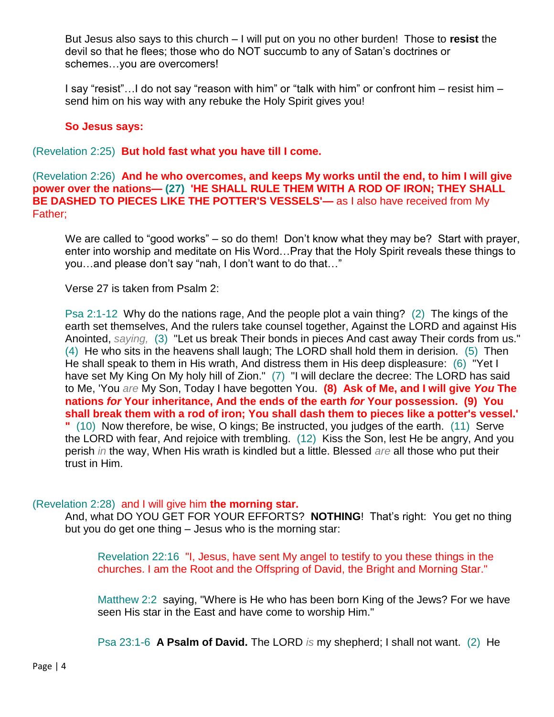But Jesus also says to this church – I will put on you no other burden! Those to **resist** the devil so that he flees; those who do NOT succumb to any of Satan's doctrines or schemes…you are overcomers!

I say "resist"…I do not say "reason with him" or "talk with him" or confront him – resist him – send him on his way with any rebuke the Holy Spirit gives you!

## **So Jesus says:**

(Revelation 2:25) **But hold fast what you have till I come.**

(Revelation 2:26) **And he who overcomes, and keeps My works until the end, to him I will give power over the nations— (27) 'HE SHALL RULE THEM WITH A ROD OF IRON; THEY SHALL BE DASHED TO PIECES LIKE THE POTTER'S VESSELS'—** as I also have received from My Father;

We are called to "good works" – so do them! Don't know what they may be? Start with prayer, enter into worship and meditate on His Word…Pray that the Holy Spirit reveals these things to you…and please don't say "nah, I don't want to do that…"

Verse 27 is taken from Psalm 2:

Psa 2:1-12 Why do the nations rage, And the people plot a vain thing? (2) The kings of the earth set themselves, And the rulers take counsel together, Against the LORD and against His Anointed, *saying,* (3) "Let us break Their bonds in pieces And cast away Their cords from us." (4) He who sits in the heavens shall laugh; The LORD shall hold them in derision. (5) Then He shall speak to them in His wrath, And distress them in His deep displeasure: (6) "Yet I have set My King On My holy hill of Zion." (7) "I will declare the decree: The LORD has said to Me, 'You *are* My Son, Today I have begotten You. **(8) Ask of Me, and I will give** *You* **The nations** *for* **Your inheritance, And the ends of the earth** *for* **Your possession. (9) You shall break them with a rod of iron; You shall dash them to pieces like a potter's vessel.' "** (10) Now therefore, be wise, O kings; Be instructed, you judges of the earth. (11) Serve the LORD with fear, And rejoice with trembling. (12) Kiss the Son, lest He be angry, And you perish *in* the way, When His wrath is kindled but a little. Blessed *are* all those who put their trust in Him.

## (Revelation 2:28) and I will give him **the morning star.**

And, what DO YOU GET FOR YOUR EFFORTS? **NOTHING**! That's right: You get no thing but you do get one thing – Jesus who is the morning star:

Revelation 22:16 "I, Jesus, have sent My angel to testify to you these things in the churches. I am the Root and the Offspring of David, the Bright and Morning Star."

Matthew 2:2 saying, "Where is He who has been born King of the Jews? For we have seen His star in the East and have come to worship Him."

Psa 23:1-6 **A Psalm of David.** The LORD *is* my shepherd; I shall not want. (2) He